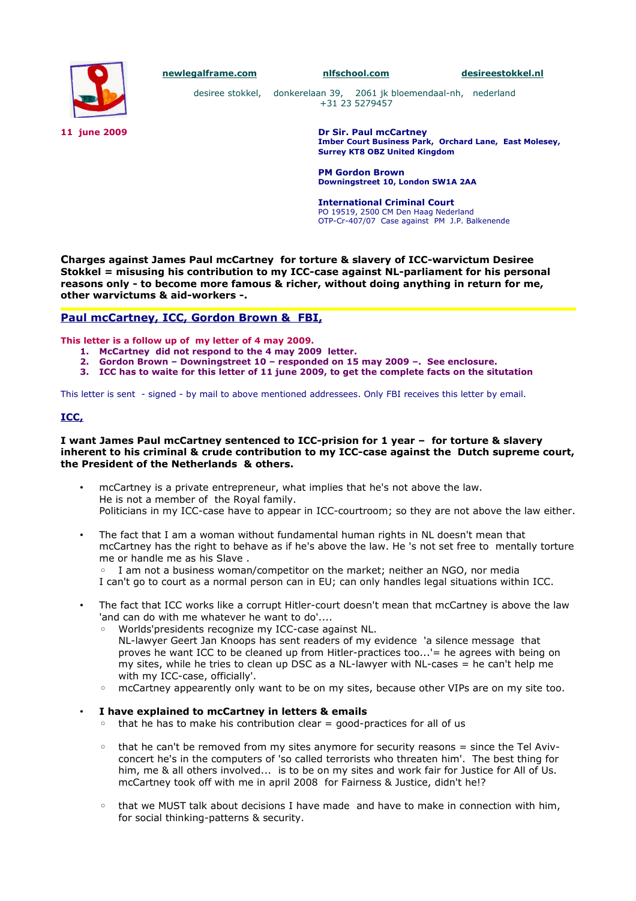

**[newlegalframe.com](http://www.newlegalframe.com/) [nlfschool.com](http://www.nlfschool.com/) [desireestokkel.nl](http://www.desireestokkel.nl/)**

desiree stokkel, donkerelaan 39, 2061 jk bloemendaal-nh, nederland +31 23 5279457

**11 june 2009 Dr Sir. Paul mcCartney Imber Court Business Park, Orchard Lane, East Molesey, Surrey KT8 OBZ United Kingdom** 

> **PM Gordon Brown Downingstreet 10, London SW1A 2AA**

**International Criminal Court** PO 19519, 2500 CM Den Haag Nederland OTP-Cr-407/07 Case against PM J.P. Balkenende

**Charges against James Paul mcCartney for torture & slavery of ICC-warvictum Desiree Stokkel = misusing his contribution to my ICC-case against NL-parliament for his personal reasons only - to become more famous & richer, without doing anything in return for me, other warvictums & aid-workers -.** 

# **Paul mcCartney, ICC, Gordon Brown & FBI,**

**This letter is a follow up of my letter of 4 may 2009.**

- **1. McCartney did not respond to the 4 may 2009 letter.**
- **2. Gordon Brown Downingstreet 10 responded on 15 may 2009 –. See enclosure.**
- **3. ICC has to waite for this letter of 11 june 2009, to get the complete facts on the situtation**

This letter is sent - signed - by mail to above mentioned addressees. Only FBI receives this letter by email.

## **ICC,**

#### **I want James Paul mcCartney sentenced to ICC-prision for 1 year – for torture & slavery inherent to his criminal & crude contribution to my ICC-case against the Dutch supreme court, the President of the Netherlands & others.**

- mcCartney is a private entrepreneur, what implies that he's not above the law. He is not a member of the Royal family. Politicians in my ICC-case have to appear in ICC-courtroom; so they are not above the law either.
- The fact that I am a woman without fundamental human rights in NL doesn't mean that mcCartney has the right to behave as if he's above the law. He 's not set free to mentally torture me or handle me as his Slave .

◦ I am not a business woman/competitor on the market; neither an NGO, nor media I can't go to court as a normal person can in EU; can only handles legal situations within ICC.

- The fact that ICC works like a corrupt Hitler-court doesn't mean that mcCartney is above the law 'and can do with me whatever he want to do'....
	- Worlds'presidents recognize my ICC-case against NL. NL-lawyer Geert Jan Knoops has sent readers of my evidence 'a silence message that proves he want ICC to be cleaned up from Hitler-practices too...'= he agrees with being on my sites, while he tries to clean up DSC as a NL-lawyer with NL-cases  $=$  he can't help me
	- with my ICC-case, officially'. mcCartney appearently only want to be on my sites, because other VIPs are on my site too.
- **I have explained to mcCartney in letters & emails** 
	- that he has to make his contribution clear = good-practices for all of us
	- that he can't be removed from my sites anymore for security reasons = since the Tel Avivconcert he's in the computers of 'so called terrorists who threaten him'. The best thing for him, me & all others involved... is to be on my sites and work fair for Justice for All of Us. mcCartney took off with me in april 2008 for Fairness & Justice, didn't he!?
	- that we MUST talk about decisions I have made and have to make in connection with him, for social thinking-patterns & security.